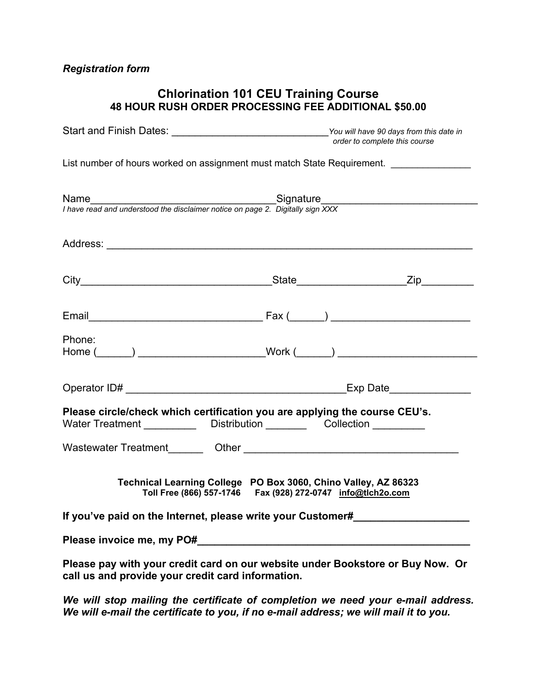# *Registration form*

# **Chlorination 101 CEU Training Course 48 HOUR RUSH ORDER PROCESSING FEE ADDITIONAL \$50.00**

| Start and Finish Dates: ___________________________________You will have 90 days from this date in                                                       | order to complete this course |  |  |  |  |  |  |  |
|----------------------------------------------------------------------------------------------------------------------------------------------------------|-------------------------------|--|--|--|--|--|--|--|
| List number of hours worked on assignment must match State Requirement.                                                                                  |                               |  |  |  |  |  |  |  |
| Name<br>I have read and understood the disclaimer notice on page 2. Digitally sign XXX                                                                   |                               |  |  |  |  |  |  |  |
|                                                                                                                                                          |                               |  |  |  |  |  |  |  |
|                                                                                                                                                          |                               |  |  |  |  |  |  |  |
|                                                                                                                                                          |                               |  |  |  |  |  |  |  |
| Phone:<br>Home (______) _________________________Work (______) ___________________________                                                               |                               |  |  |  |  |  |  |  |
|                                                                                                                                                          |                               |  |  |  |  |  |  |  |
| Please circle/check which certification you are applying the course CEU's.<br>Water Treatment _____________ Distribution __________ Collection _________ |                               |  |  |  |  |  |  |  |
|                                                                                                                                                          |                               |  |  |  |  |  |  |  |
| Technical Learning College PO Box 3060, Chino Valley, AZ 86323<br>Toll Free (866) 557-1746    Fax (928) 272-0747    info@tich2o.com                      |                               |  |  |  |  |  |  |  |
| If you've paid on the Internet, please write your Customer#                                                                                              |                               |  |  |  |  |  |  |  |
|                                                                                                                                                          |                               |  |  |  |  |  |  |  |
| Please pay with your credit card on our website under Bookstore or Buy Now. Or<br>call us and provide your credit card information.                      |                               |  |  |  |  |  |  |  |

*We will stop mailing the certificate of completion we need your e-mail address. We will e-mail the certificate to you, if no e-mail address; we will mail it to you.*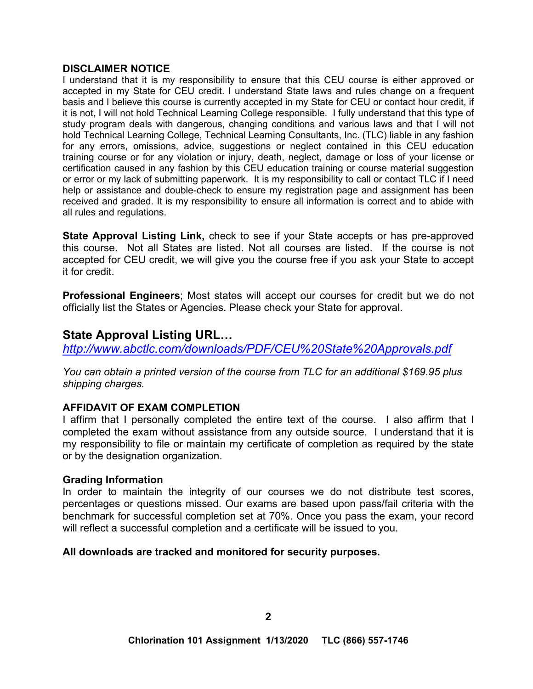#### **DISCLAIMER NOTICE**

I understand that it is my responsibility to ensure that this CEU course is either approved or accepted in my State for CEU credit. I understand State laws and rules change on a frequent basis and I believe this course is currently accepted in my State for CEU or contact hour credit, if it is not, I will not hold Technical Learning College responsible. I fully understand that this type of study program deals with dangerous, changing conditions and various laws and that I will not hold Technical Learning College, Technical Learning Consultants, Inc. (TLC) liable in any fashion for any errors, omissions, advice, suggestions or neglect contained in this CEU education training course or for any violation or injury, death, neglect, damage or loss of your license or certification caused in any fashion by this CEU education training or course material suggestion or error or my lack of submitting paperwork. It is my responsibility to call or contact TLC if I need help or assistance and double-check to ensure my registration page and assignment has been received and graded. It is my responsibility to ensure all information is correct and to abide with all rules and regulations.

**State Approval Listing Link,** check to see if your State accepts or has pre-approved this course. Not all States are listed. Not all courses are listed. If the course is not accepted for CEU credit, we will give you the course free if you ask your State to accept it for credit.

**Professional Engineers**; Most states will accept our courses for credit but we do not officially list the States or Agencies. Please check your State for approval.

# **State Approval Listing URL…**

*<http://www.abctlc.com/downloads/PDF/CEU%20State%20Approvals.pdf>*

*You can obtain a printed version of the course from TLC for an additional \$169.95 plus shipping charges.* 

# **AFFIDAVIT OF EXAM COMPLETION**

I affirm that I personally completed the entire text of the course. I also affirm that I completed the exam without assistance from any outside source. I understand that it is my responsibility to file or maintain my certificate of completion as required by the state or by the designation organization.

#### **Grading Information**

In order to maintain the integrity of our courses we do not distribute test scores, percentages or questions missed. Our exams are based upon pass/fail criteria with the benchmark for successful completion set at 70%. Once you pass the exam, your record will reflect a successful completion and a certificate will be issued to you.

# **All downloads are tracked and monitored for security purposes.**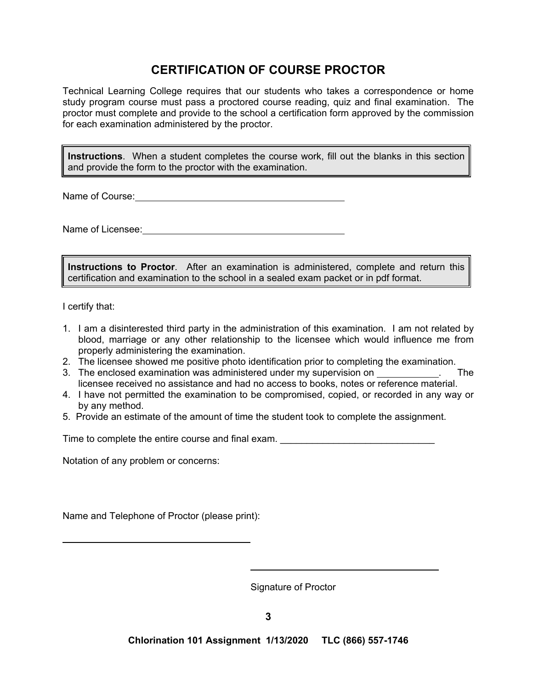# **CERTIFICATION OF COURSE PROCTOR**

Technical Learning College requires that our students who takes a correspondence or home study program course must pass a proctored course reading, quiz and final examination. The proctor must complete and provide to the school a certification form approved by the commission for each examination administered by the proctor.

**Instructions**. When a student completes the course work, fill out the blanks in this section and provide the form to the proctor with the examination.

Name of Course: **Name of Course:** 

Name of Licensee:

**Instructions to Proctor**. After an examination is administered, complete and return this certification and examination to the school in a sealed exam packet or in pdf format.

I certify that:

 $\overline{a}$ 

- 1. I am a disinterested third party in the administration of this examination. I am not related by blood, marriage or any other relationship to the licensee which would influence me from properly administering the examination.
- 2. The licensee showed me positive photo identification prior to completing the examination.
- 3. The enclosed examination was administered under my supervision on \_\_\_\_\_\_\_\_\_\_\_. The licensee received no assistance and had no access to books, notes or reference material.
- 4. I have not permitted the examination to be compromised, copied, or recorded in any way or by any method.
- 5. Provide an estimate of the amount of time the student took to complete the assignment.

Time to complete the entire course and final exam.

Notation of any problem or concerns:

Name and Telephone of Proctor (please print):

Signature of Proctor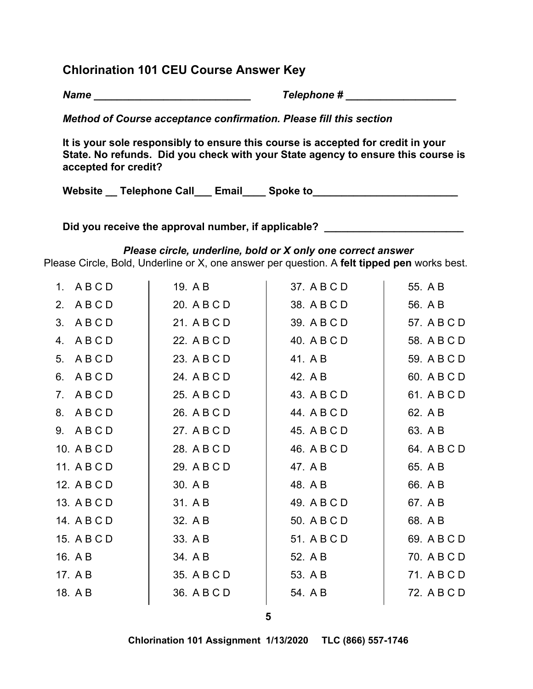# **Chlorination 101 CEU Course Answer Key**

*Name \_\_\_\_\_\_\_\_\_\_\_\_\_\_\_\_\_\_\_\_\_\_\_\_\_\_\_ Telephone # \_\_\_\_\_\_\_\_\_\_\_\_\_\_\_\_\_\_\_* 

*Method of Course acceptance confirmation. Please fill this section* 

**It is your sole responsibly to ensure this course is accepted for credit in your State. No refunds. Did you check with your State agency to ensure this course is accepted for credit?** 

Website \_ Telephone Call \_\_\_ Email \_\_\_\_ Spoke to \_ \_ \_ \_ \_ \_ \_ \_ \_ \_ \_ \_ \_ \_ \_ \_

Did you receive the approval number, if applicable? \_\_\_\_\_\_\_\_\_\_\_\_\_\_\_\_\_\_\_\_\_\_\_\_\_\_\_\_

# *Please circle, underline, bold or X only one correct answer*

Please Circle, Bold, Underline or X, one answer per question. A **felt tipped pen** works best.

| 1. ABCD     | 19. A B     | 37. A B C D | 55. A B     |
|-------------|-------------|-------------|-------------|
| 2. ABCD     | 20. A B C D | 38. A B C D | 56. A B     |
| 3. ABCD     | 21. A B C D | 39. A B C D | 57. A B C D |
| 4. ABCD     | 22. A B C D | 40. A B C D | 58. A B C D |
| 5. ABCD     | 23. A B C D | 41. A B     | 59. A B C D |
| 6. ABCD     | 24. A B C D | 42. A B     | 60. A B C D |
| 7. ABCD     | 25. A B C D | 43. A B C D | 61. A B C D |
| 8. ABCD     | 26. A B C D | 44. A B C D | 62. A B     |
| 9. ABCD     | 27. A B C D | 45. A B C D | 63. A B     |
| 10. A B C D | 28. A B C D | 46. A B C D | 64. A B C D |
| 11. A B C D | 29. A B C D | 47. A B     | 65. A B     |
| 12. A B C D | 30. A B     | 48. A B     | 66. A B     |
| 13. A B C D | 31. A B     | 49. A B C D | 67. A B     |
| 14. A B C D | 32. A B     | 50. A B C D | 68. A B     |
| 15. A B C D | 33. A B     | 51. A B C D | 69. A B C D |
| 16. A B     | 34. A B     | 52. A B     | 70. A B C D |
| 17. A B     | 35. A B C D | 53. A B     | 71. A B C D |
| 18. A B     | 36. A B C D | 54. A B     | 72. A B C D |
|             |             |             |             |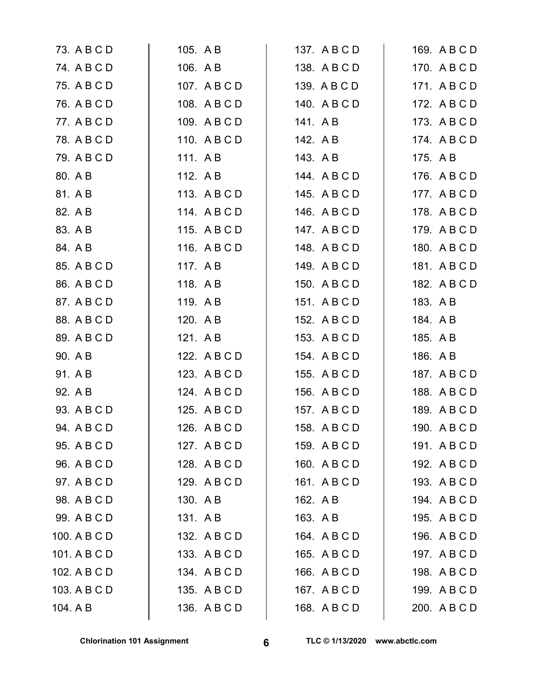| 73. A B C D  | 105. A B     | 137. A B C D | 169. A B C D |
|--------------|--------------|--------------|--------------|
| 74. A B C D  | 106. A B     | 138. A B C D | 170. A B C D |
| 75. A B C D  | 107. A B C D | 139. A B C D | 171. A B C D |
| 76. A B C D  | 108. A B C D | 140. A B C D | 172. A B C D |
| 77. A B C D  | 109. ABCD    | 141. AB      | 173. A B C D |
| 78. A B C D  | 110. ABCD    | 142. A B     | 174. A B C D |
| 79. A B C D  | 111. AB      | 143. AB      | 175. A B     |
| 80. A B      | 112. A B     | 144. ABCD    | 176. A B C D |
| 81. A B      | 113. ABCD    | 145. A B C D | 177. A B C D |
| 82. A B      | 114. ABCD    | 146. A B C D | 178. A B C D |
| 83. A B      | 115. ABCD    | 147. ABCD    | 179. A B C D |
| 84. A B      | 116. ABCD    | 148. A B C D | 180. A B C D |
| 85. A B C D  | 117. A B     | 149. ABCD    | 181. ABCD    |
| 86. A B C D  | 118. AB      | 150. A B C D | 182. A B C D |
| 87. A B C D  | 119. A B     | 151. A B C D | 183. A B     |
| 88. A B C D  | 120. A B     | 152. A B C D | 184. A B     |
| 89. A B C D  | 121. AB      | 153. A B C D | 185. A B     |
| 90. A B      | 122. A B C D | 154. A B C D | 186. A B     |
| 91. A B      | 123. A B C D | 155. A B C D | 187. A B C D |
| 92. A B      | 124. A B C D | 156. A B C D | 188. A B C D |
| 93. A B C D  | 125. A B C D | 157. A B C D | 189. A B C D |
| 94. A B C D  | 126. A B C D | 158. A B C D | 190. A B C D |
| 95. A B C D  | 127. A B C D | 159. A B C D | 191. ABCD    |
| 96. A B C D  | 128. A B C D | 160. A B C D | 192. A B C D |
| 97. A B C D  | 129. A B C D | 161. ABCD    | 193. A B C D |
| 98. A B C D  | 130. A B     | 162. A B     | 194. A B C D |
| 99. A B C D  | 131. AB      | 163. A B     | 195. A B C D |
| 100. A B C D | 132. A B C D | 164. A B C D | 196. A B C D |
| 101. A B C D | 133. ABCD    | 165. A B C D | 197. ABCD    |
| 102. A B C D | 134. A B C D | 166. A B C D | 198. A B C D |
| 103. A B C D | 135. A B C D | 167. A B C D | 199. A B C D |
| 104. A B     | 136. A B C D | 168. A B C D | 200. A B C D |
|              |              |              |              |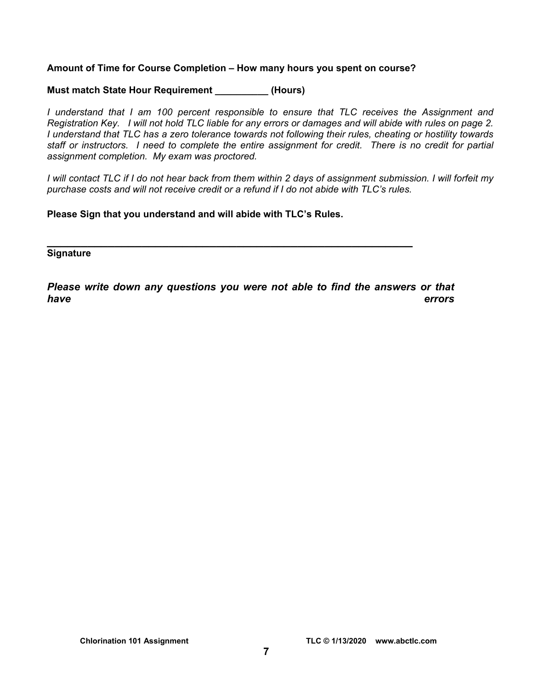#### **Amount of Time for Course Completion – How many hours you spent on course?**

#### **Must match State Hour Requirement (Hours)**

*I understand that I am 100 percent responsible to ensure that TLC receives the Assignment and Registration Key. I will not hold TLC liable for any errors or damages and will abide with rules on page 2. I understand that TLC has a zero tolerance towards not following their rules, cheating or hostility towards staff or instructors. I need to complete the entire assignment for credit. There is no credit for partial assignment completion. My exam was proctored.* 

*I will contact TLC if I do not hear back from them within 2 days of assignment submission. I will forfeit my purchase costs and will not receive credit or a refund if I do not abide with TLC's rules.* 

**Please Sign that you understand and will abide with TLC's Rules.** 

**\_\_\_\_\_\_\_\_\_\_\_\_\_\_\_\_\_\_\_\_\_\_\_\_\_\_\_\_\_\_\_\_\_\_\_\_\_\_\_\_\_\_\_\_\_\_\_\_\_\_\_\_\_\_ Signature** 

*Please write down any questions you were not able to find the answers or that have errors*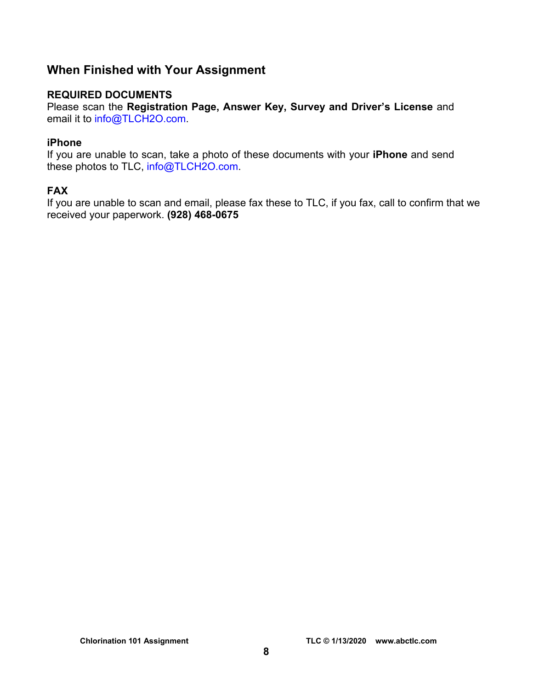# **When Finished with Your Assignment**

# **REQUIRED DOCUMENTS**

Please scan the **Registration Page, Answer Key, Survey and Driver's License** and email it to [info@TLCH2O.com.](mailto:info@TLCH2O.com) 

# **iPhone**

If you are unable to scan, take a photo of these documents with your **iPhone** and send these photos to TLC, info@TLCH2O.com.

# **FAX**

If you are unable to scan and email, please fax these to TLC, if you fax, call to confirm that we received your paperwork. **(928) 468-0675**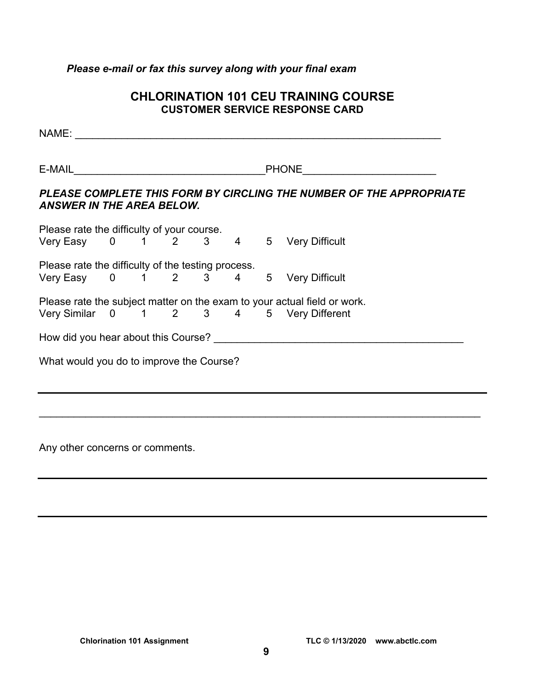# *Please e-mail or fax this survey along with your final exam*

# **CHLORINATION 101 CEU TRAINING COURSE CUSTOMER SERVICE RESPONSE CARD**

| PHONE <u>______________________</u>      |  |  |  |  |  |  |                                                                                                                     |  |  |  |
|------------------------------------------|--|--|--|--|--|--|---------------------------------------------------------------------------------------------------------------------|--|--|--|
| <b>ANSWER IN THE AREA BELOW.</b>         |  |  |  |  |  |  | PLEASE COMPLETE THIS FORM BY CIRCLING THE NUMBER OF THE APPROPRIATE                                                 |  |  |  |
|                                          |  |  |  |  |  |  | Please rate the difficulty of your course.<br>Very Easy 0 1 2 3 4 5 Very Difficult                                  |  |  |  |
|                                          |  |  |  |  |  |  | Please rate the difficulty of the testing process.<br>Very Easy 0 1 2 3 4 5 Very Difficult                          |  |  |  |
|                                          |  |  |  |  |  |  | Please rate the subject matter on the exam to your actual field or work.<br>Very Similar 0 1 2 3 4 5 Very Different |  |  |  |
|                                          |  |  |  |  |  |  |                                                                                                                     |  |  |  |
|                                          |  |  |  |  |  |  |                                                                                                                     |  |  |  |
| What would you do to improve the Course? |  |  |  |  |  |  |                                                                                                                     |  |  |  |

Any other concerns or comments.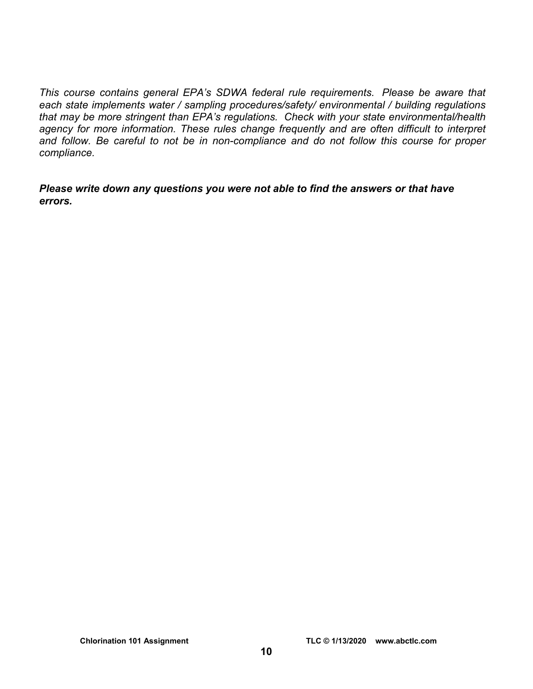*This course contains general EPA's SDWA federal rule requirements. Please be aware that each state implements water / sampling procedures/safety/ environmental / building regulations that may be more stringent than EPA's regulations. Check with your state environmental/health agency for more information. These rules change frequently and are often difficult to interpret and follow. Be careful to not be in non-compliance and do not follow this course for proper compliance.* 

*Please write down any questions you were not able to find the answers or that have errors.*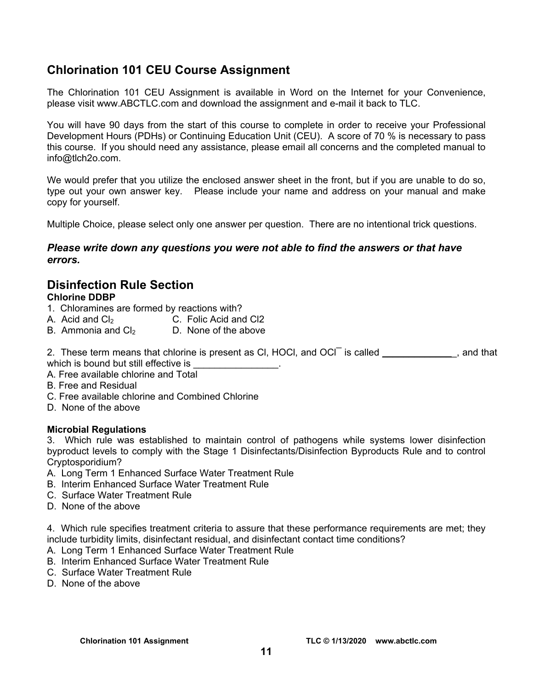# **Chlorination 101 CEU Course Assignment**

The Chlorination 101 CEU Assignment is available in Word on the Internet for your Convenience, please visit [www.ABCTLC.com an](http://www.ABCTLC.com)d download the assignment and e-mail it back to TLC.

You will have 90 days from the start of this course to complete in order to receive your Professional Development Hours (PDHs) or Continuing Education Unit (CEU). A score of 70 % is necessary to pass this course. If you should need any assistance, please email all concerns and the completed manual to [info@tlch2o.com.](mailto:info@tlch2o.com) 

We would prefer that you utilize the enclosed answer sheet in the front, but if you are unable to do so, type out your own answer key. Please include your name and address on your manual and make copy for yourself.

Multiple Choice, please select only one answer per question. There are no intentional trick questions.

### *Please write down any questions you were not able to find the answers or that have errors.*

# **Disinfection Rule Section**

# **Chlorine DDBP**

- 1. Chloramines are formed by reactions with?
- A. Acid and Cl<sub>2</sub> C. Folic Acid and Cl2
- B. Ammonia and  $Cl<sub>2</sub>$  D. None of the above

2. These term means that chlorine is present as CI, HOCI, and OCI $^-$  is called \_\_\_\_\_\_\_\_\_\_\_\_\_, and that which is bound but still effective is

- A. Free available chlorine and Total
- B. Free and Residual
- C. Free available chlorine and Combined Chlorine
- D. None of the above

#### **Microbial Regulations**

3. Which rule was established to maintain control of pathogens while systems lower disinfection byproduct levels to comply with the Stage 1 Disinfectants/Disinfection Byproducts Rule and to control Cryptosporidium?

- A. Long Term 1 Enhanced Surface Water Treatment Rule
- B. Interim Enhanced Surface Water Treatment Rule
- C. Surface Water Treatment Rule
- D. None of the above

4. Which rule specifies treatment criteria to assure that these performance requirements are met; they include turbidity limits, disinfectant residual, and disinfectant contact time conditions?

- A. Long Term 1 Enhanced Surface Water Treatment Rule
- B. Interim Enhanced Surface Water Treatment Rule
- C. Surface Water Treatment Rule
- D. None of the above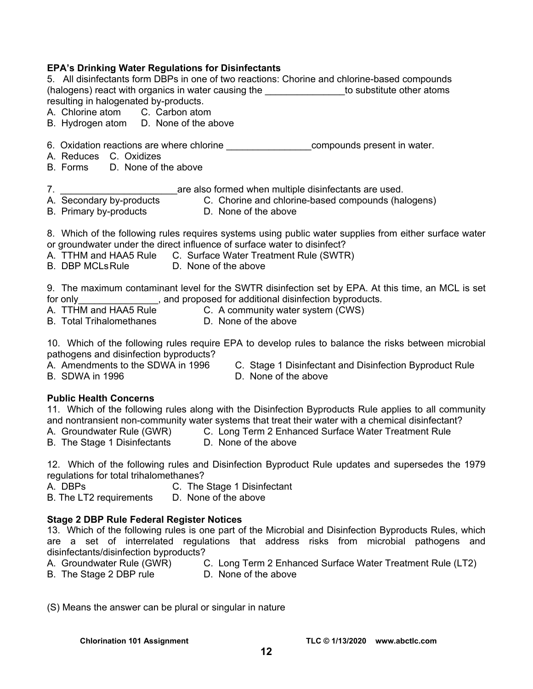### **EPA's Drinking Water Regulations for Disinfectants**

5. All disinfectants form DBPs in one of two reactions: Chorine and chlorine-based compounds (halogens) react with organics in water causing the the substitute other atoms resulting in halogenated by-products.

A. Chlorine atom C. Carbon atom

- B. Hydrogen atom D. None of the above
- 6. Oxidation reactions are where chlorine **Example 20** compounds present in water.
- A. Reduces C. Oxidizes
- B. Forms D. None of the above

7. \_\_\_\_\_\_\_\_\_\_\_\_\_\_\_\_\_\_\_\_\_\_are also formed when multiple disinfectants are used.

- A. Secondary by-products C. Chorine and chlorine-based compounds (halogens)
- B. Primary by-products D. None of the above

8. Which of the following rules requires systems using public water supplies from either surface water or groundwater under the direct influence of surface water to disinfect?

- A. TTHM and HAA5 Rule C. Surface Water Treatment Rule (SWTR)
- B. DBP MCLs Rule D. None of the above

9. The maximum contaminant level for the SWTR disinfection set by EPA. At this time, an MCL is set for only state only state of a state proposed for additional disinfection byproducts.

- A. TTHM and HAA5 Rule<br>B. Total Tribelomethansensing C. A community water system (CWS)
- B. Total Trihalomethanes **D. None of the above**

10. Which of the following rules require EPA to develop rules to balance the risks between microbial pathogens and disinfection byproducts?

- A. Amendments to the SDWA in 1996 C. Stage 1 Disinfectant and Disinfection Byproduct Rule
- B. SDWA in 1996 D. None of the above
- 

**Public Health Concerns** 

11. Which of the following rules along with the Disinfection Byproducts Rule applies to all community and nontransient non-community water systems that treat their water with a chemical disinfectant?

- A. Groundwater Rule (GWR) C. Long Term 2 Enhanced Surface Water Treatment Rule
- B. The Stage 1 Disinfectants D. None of the above

12. Which of the following rules and Disinfection Byproduct Rule updates and supersedes the 1979 regulations for total trihalomethanes?

A. DBPs C. The Stage 1 Disinfectant<br>B. The LT2 requirements D. None of the above

B. The LT2 requirements

#### **Stage 2 DBP Rule Federal Register Notices**

13. Which of the following rules is one part of the Microbial and Disinfection Byproducts Rules, which are a set of interrelated regulations that address risks from microbial pathogens and disinfectants/disinfection byproducts?

A. Groundwater Rule (GWR) C. Long Term 2 Enhanced Surface Water Treatment Rule (LT2)

B. The Stage 2 DBP rule **D.** None of the above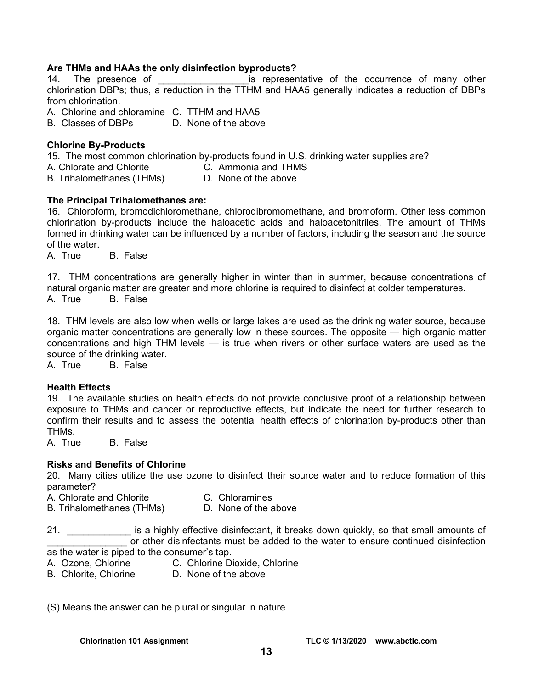#### **Are THMs and HAAs the only disinfection byproducts?**

14. The presence of the sepresentative of the occurrence of many other chlorination DBPs; thus, a reduction in the TTHM and HAA5 generally indicates a reduction of DBPs from chlorination.

A. Chlorine and chloramine C. TTHM and HAA5

B. Classes of DBPs D. None of the above

#### **Chlorine By-Products**

15. The most common chlorination by-products found in U.S. drinking water supplies are?

A. Chlorate and Chlorite C. Ammonia and THMS

B. Trihalomethanes (THMs) D. None of the above

#### **The Principal Trihalomethanes are:**

16. Chloroform, bromodichloromethane, chlorodibromomethane, and bromoform. Other less common chlorination by-products include the haloacetic acids and haloacetonitriles. The amount of THMs formed in drinking water can be influenced by a number of factors, including the season and the source of the water.

A. True B. False

17. THM concentrations are generally higher in winter than in summer, because concentrations of natural organic matter are greater and more chlorine is required to disinfect at colder temperatures. A. True B. False

18. THM levels are also low when wells or large lakes are used as the drinking water source, because organic matter concentrations are generally low in these sources. The opposite — high organic matter concentrations and high THM levels — is true when rivers or other surface waters are used as the source of the drinking water.

A. True B. False

#### **Health Effects**

19. The available studies on health effects do not provide conclusive proof of a relationship between exposure to THMs and cancer or reproductive effects, but indicate the need for further research to confirm their results and to assess the potential health effects of chlorination by-products other than THMs.

A. True B. False

#### **Risks and Benefits of Chlorine**

20. Many cities utilize the use ozone to disinfect their source water and to reduce formation of this parameter?

A. Chlorate and Chlorite **C.** Chloramines

B. Trihalomethanes (THMs) D. None of the above

21. \_\_\_\_\_\_\_\_\_\_\_\_ is a highly effective disinfectant, it breaks down quickly, so that small amounts of or other disinfectants must be added to the water to ensure continued disinfection as the water is piped to the consumer's tap.

- A. Ozone, Chlorine C. Chlorine Dioxide, Chlorine
- B. Chlorite, Chlorine D. None of the above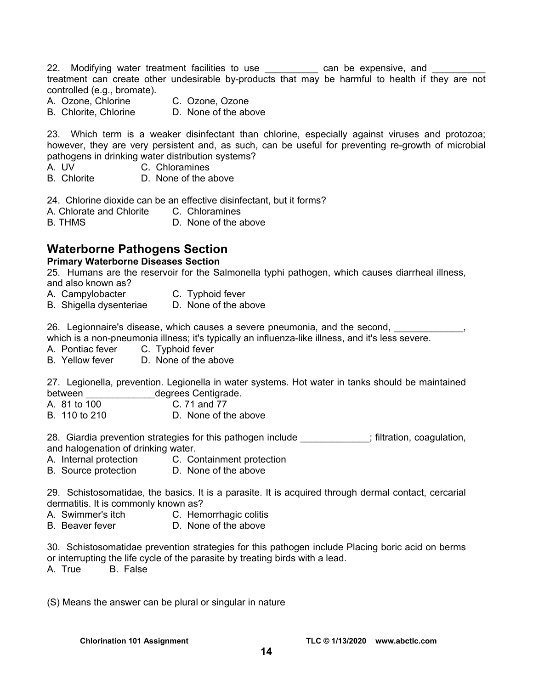22. Modifying water treatment facilities to use \_\_\_\_\_\_\_\_\_\_\_ can be expensive, and treatment can create other undesirable by-products that may be harmful to health if they are not controlled (e.g., bromate).

- A. Ozone, Chlorine C. Ozone, Ozone
	-
- B. Chlorite, Chlorine D. None of the above

23. Which term is a weaker disinfectant than chlorine, especially against viruses and protozoa; however, they are very persistent and, as such, can be useful for preventing re-growth of microbial pathogens in drinking water distribution systems?

- A. UV C. Chloramines<br>B. Chlorite D. None of the a
- D. None of the above

24. Chlorine dioxide can be an effective disinfectant, but it forms?

- A. Chlorate and Chlorite C. Chloramines
- B. THMS D. None of the above

# **Waterborne Pathogens Section**

#### **Primary Waterborne Diseases Section**

25. Humans are the reservoir for the Salmonella typhi pathogen, which causes diarrheal illness, and also known as?

- A. Campylobacter **C.** Typhoid fever
- B. Shigella dysenteriae D. None of the above

26. Legionnaire's disease, which causes a severe pneumonia, and the second,

which is a non-pneumonia illness; it's typically an influenza-like illness, and it's less severe.

A. Pontiac fever C. Typhoid fever

B. Yellow fever D. None of the above

27. Legionella, prevention. Legionella in water systems. Hot water in tanks should be maintained between degrees Centigrade.

- A. 81 to 100 C. 71 and 77
- B. 110 to 210 D. None of the above

28. Giardia prevention strategies for this pathogen include \_\_\_\_\_\_\_\_\_\_\_; filtration, coagulation, and halogenation of drinking water.

- A. Internal protection C. Containment protection
- B. Source protection D. None of the above

29. Schistosomatidae, the basics. It is a parasite. It is acquired through dermal contact, cercarial dermatitis. It is commonly known as?

- A. Swimmer's itch C. Hemorrhagic colitis
- B. Beaver fever **D. None of the above**
- 30. Schistosomatidae prevention strategies for this pathogen include Placing boric acid on berms or interrupting the life cycle of the parasite by treating birds with a lead.

A. True B. False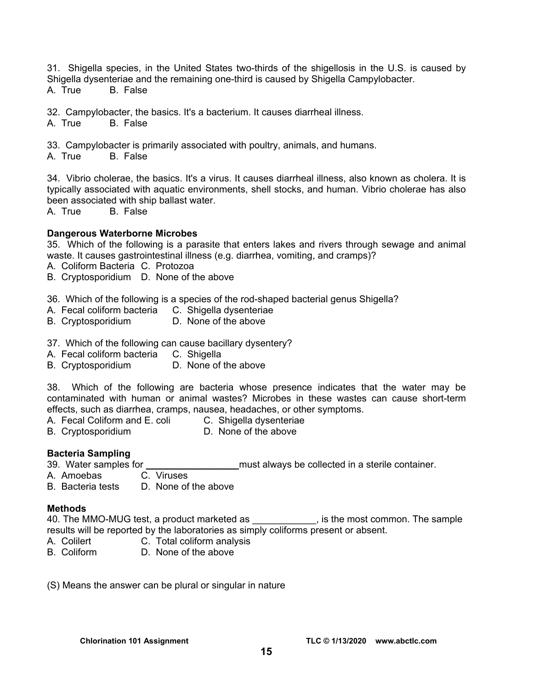31. Shigella species, in the United States two-thirds of the shigellosis in the U.S. is caused by Shigella dysenteriae and the remaining one-third is caused by Shigella Campylobacter.

A. True B. False

32. Campylobacter, the basics. It's a bacterium. It causes diarrheal illness.

A. True B. False

33. Campylobacter is primarily associated with poultry, animals, and humans.

A. True B. False

34. Vibrio cholerae, the basics. It's a virus. It causes diarrheal illness, also known as cholera. It is typically associated with aquatic environments, shell stocks, and human. Vibrio cholerae has also been associated with ship ballast water.

A. True B. False

#### **Dangerous Waterborne Microbes**

35. Which of the following is a parasite that enters lakes and rivers through sewage and animal waste. It causes gastrointestinal illness (e.g. diarrhea, vomiting, and cramps)?

- A. Coliform Bacteria C. Protozoa
- B. Cryptosporidium D. None of the above

36. Which of the following is a species of the rod-shaped bacterial genus Shigella?

- A. Fecal coliform bacteria C. Shigella dysenteriae
- B. Cryptosporidium D. None of the above
- 37. Which of the following can cause bacillary dysentery?
- A. Fecal coliform bacteria C. Shigella
- B. Cryptosporidium D. None of the above

38. Which of the following are bacteria whose presence indicates that the water may be contaminated with human or animal wastes? Microbes in these wastes can cause short-term effects, such as diarrhea, cramps, nausea, headaches, or other symptoms.

- A. Fecal Coliform and E. coli C. Shigella dysenteriae
- B. Cryptosporidium D. None of the above

#### **Bacteria Sampling**

- 39. Water samples for **the samples of the same of the same of the sterile container.**
- A. Amoebas C. Viruses
- B. Bacteria tests D. None of the above

#### **Methods**

40. The MMO-MUG test, a product marketed as \_\_\_\_\_\_\_\_\_\_\_\_, is the most common. The sample results will be reported by the laboratories as simply coliforms present or absent.

- A. Colilert **C. Total coliform analysis**
- B. Coliform D. None of the above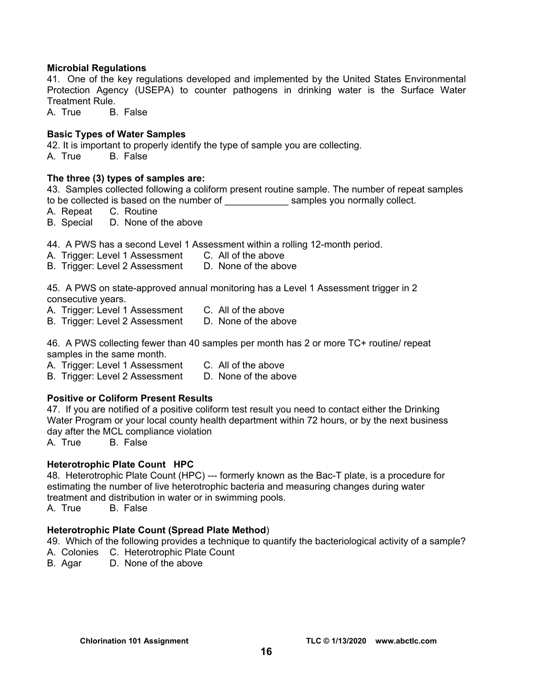#### **Microbial Regulations**

41. One of the key regulations developed and implemented by the United States Environmental Protection Agency (USEPA) to counter pathogens in drinking water is the Surface Water Treatment Rule.

A. True B. False

#### **Basic Types of Water Samples**

42. It is important to properly identify the type of sample you are collecting.

A. True B. False

#### **The three (3) types of samples are:**

43. Samples collected following a coliform present routine sample. The number of repeat samples to be collected is based on the number of examples you normally collect.

A. Repeat C. Routine

B. Special D. None of the above

44. A PWS has a second Level 1 Assessment within a rolling 12-month period.

- A. Trigger: Level 1 Assessment C. All of the above
- B. Trigger: Level 2 Assessment D. None of the above

45. A PWS on state-approved annual monitoring has a Level 1 Assessment trigger in 2 consecutive years.

- A. Trigger: Level 1 Assessment C. All of the above
- B. Trigger: Level 2 Assessment D. None of the above

46. A PWS collecting fewer than 40 samples per month has 2 or more TC+ routine/ repeat samples in the same month.

A. Trigger: Level 1 Assessment C. All of the above

B. Trigger: Level 2 Assessment D. None of the above

#### **Positive or Coliform Present Results**

47. If you are notified of a positive coliform test result you need to contact either the Drinking Water Program or your local county health department within 72 hours, or by the next business day after the MCL compliance violation

A. True B. False

#### **Heterotrophic Plate Count HPC**

48. Heterotrophic Plate Count (HPC) --- formerly known as the Bac-T plate, is a procedure for estimating the number of live heterotrophic bacteria and measuring changes during water treatment and distribution in water or in swimming pools.

A. True B. False

#### **Heterotrophic Plate Count (Spread Plate Method**)

49. Which of the following provides a technique to quantify the bacteriological activity of a sample?

- A. Colonies C. Heterotrophic Plate Count
- B. Agar D. None of the above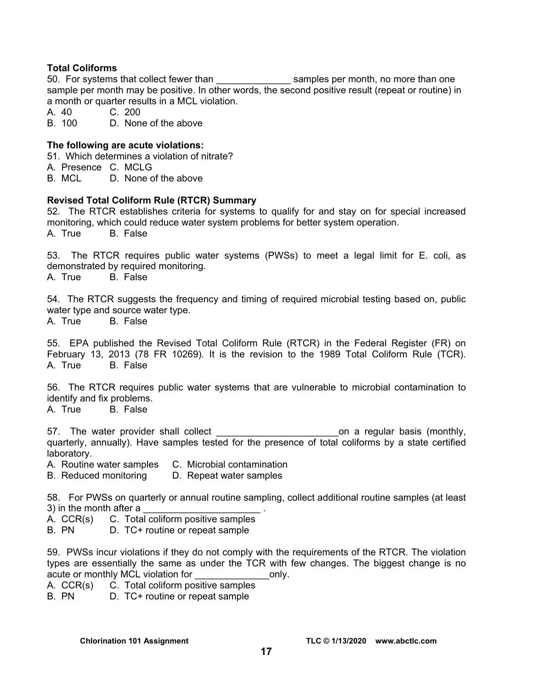### **Total Coliforms**

50. For systems that collect fewer than started as amples per month, no more than one sample per month may be positive. In other words, the second positive result (repeat or routine) in a month or quarter results in a MCL violation.

A. 40 C. 200

B. 100 D. None of the above

#### **The following are acute violations:**

51. Which determines a violation of nitrate?

A. Presence C. MCLG

B. MCL D. None of the above

#### **Revised Total Coliform Rule (RTCR) Summary**

52. The RTCR establishes criteria for systems to qualify for and stay on for special increased monitoring, which could reduce water system problems for better system operation.

A. True B. False

53. The RTCR requires public water systems (PWSs) to meet a legal limit for E. coli, as demonstrated by required monitoring.

A. True B. False

54. The RTCR suggests the frequency and timing of required microbial testing based on, public water type and source water type.

A. True B. False

55. EPA published the Revised Total Coliform Rule (RTCR) in the Federal Register (FR) on February 13, 2013 (78 FR 10269). It is the revision to the 1989 Total Coliform Rule (TCR). A. True B. False

56. The RTCR requires public water systems that are vulnerable to microbial contamination to identify and fix problems.

A. True B. False

57. The water provider shall collect the state of the collect on a regular basis (monthly, quarterly, annually). Have samples tested for the presence of total coliforms by a state certified laboratory.

A. Routine water samples C. Microbial contamination

B. Reduced monitoring D. Repeat water samples

58. For PWSs on quarterly or annual routine sampling, collect additional routine samples (at least 3) in the month after a

A. CCR(s) C. Total coliform positive samples

B. PN D. TC+ routine or repeat sample

59. PWSs incur violations if they do not comply with the requirements of the RTCR. The violation types are essentially the same as under the TCR with few changes. The biggest change is no acute or monthly MCL violation for **EXACC 10** only.

A. CCR(s) C. Total coliform positive samples

B. PN D. TC+ routine or repeat sample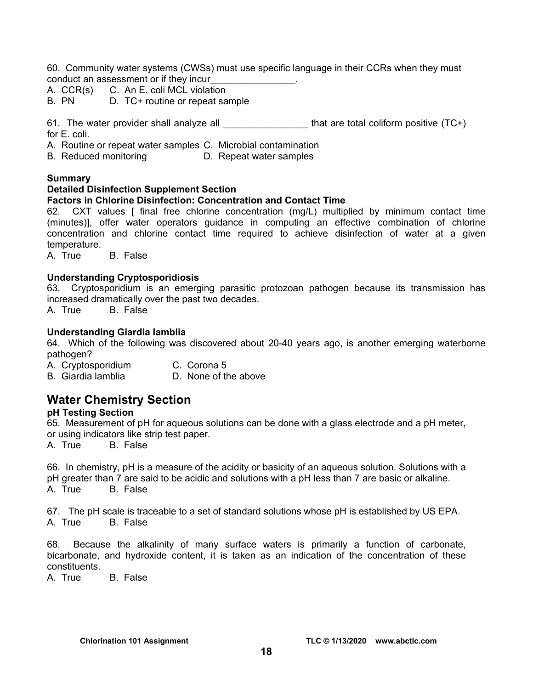60. Community water systems (CWSs) must use specific language in their CCRs when they must conduct an assessment or if they incur\_\_\_\_\_\_\_\_\_\_\_\_\_\_\_\_.

- A. CCR(s) C. An E. coli MCL violation
- B. PN D. TC+ routine or repeat sample

61. The water provider shall analyze all  $\qquad \qquad$  that are total coliform positive (TC+) for E. coli.

- A. Routine or repeat water samples C. Microbial contamination
- B. Reduced monitoring D. Repeat water samples

#### **Summary**

#### **Detailed Disinfection Supplement Section**

#### **Factors in Chlorine Disinfection: Concentration and Contact Time**

62. CXT values [ final free chlorine concentration (mg/L) multiplied by minimum contact time (minutes)], offer water operators guidance in computing an effective combination of chlorine concentration and chlorine contact time required to achieve disinfection of water at a given temperature.

A. True B. False

#### **Understanding Cryptosporidiosis**

63. Cryptosporidium is an emerging parasitic protozoan pathogen because its transmission has increased dramatically over the past two decades.

A. True B. False

#### **Understanding Giardia lamblia**

64. Which of the following was discovered about 20-40 years ago, is another emerging waterborne pathogen?

- A. Cryptosporidium C. Corona 5
- B. Giardia lamblia **D.** None of the above

# **Water Chemistry Section**

### **pH Testing Section**

65. Measurement of pH for aqueous solutions can be done with a glass electrode and a pH meter, or using indicators like strip test paper.

A. True B. False

66. In chemistry, pH is a measure of the acidity or basicity of an aqueous solution. Solutions with a pH greater than 7 are said to be acidic and solutions with a pH less than 7 are basic or alkaline. A. True B. False

67. The pH scale is traceable to a set of standard solutions whose pH is established by US EPA. A. True B. False

68. Because the alkalinity of many surface waters is primarily a function of carbonate, bicarbonate, and hydroxide content, it is taken as an indication of the concentration of these constituents.

A. True B. False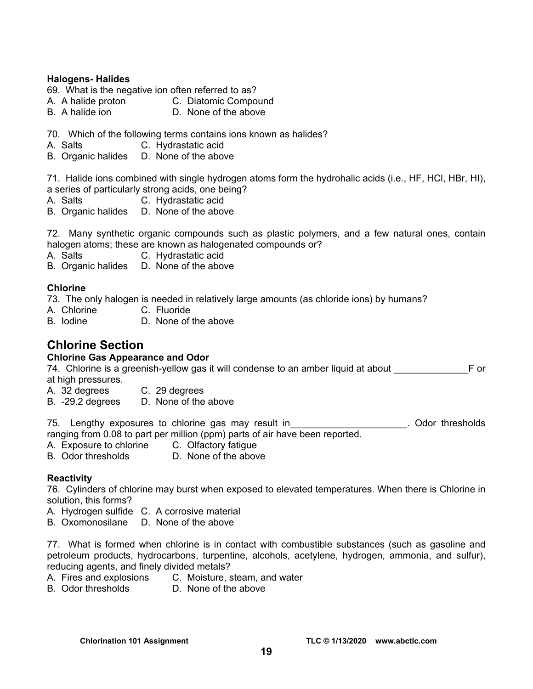### **Halogens- Halides**

- 69. What is the negative ion often referred to as?
- A. A halide proton C. Diatomic Compound
- B. A halide ion D. None of the above
- 70. Which of the following terms contains ions known as halides?
- A. Salts C. Hydrastatic acid
- B. Organic halides D. None of the above

71. Halide ions combined with single hydrogen atoms form the hydrohalic acids (i.e., HF, HCl, HBr, HI), a series of particularly strong acids, one being?

- A. Salts C. Hydrastatic acid
- B. Organic halides D. None of the above

72. Many synthetic organic compounds such as plastic polymers, and a few natural ones, contain halogen atoms; these are known as halogenated compounds or?

A. Salts C. Hydrastatic acid

B. Organic halides D. None of the above

#### **Chlorine**

73. The only halogen is needed in relatively large amounts (as chloride ions) by humans?

- A. Chlorine C. Fluoride
- B. Iodine D. None of the above

# **Chlorine Section**

### **Chlorine Gas Appearance and Odor**

74. Chlorine is a greenish-yellow gas it will condense to an amber liquid at about \_\_\_\_\_\_\_\_\_\_\_\_\_\_F or at high pressures.

- A. 32 degrees C. 29 degrees
- B. -29.2 degrees D. None of the above

75. Lengthy exposures to chlorine gas may result in\_\_\_\_\_\_\_\_\_\_\_\_\_\_\_\_\_\_\_\_\_\_\_\_\_\_\_\_. Odor thresholds ranging from 0.08 to part per million (ppm) parts of air have been reported.

- A. Exposure to chlorine C. Olfactory fatigue
- B. Odor thresholds D. None of the above

#### **Reactivity**

76. Cylinders of chlorine may burst when exposed to elevated temperatures. When there is Chlorine in solution, this forms?

- A. Hydrogen sulfide C. A corrosive material
- B. Oxomonosilane D. None of the above

77. What is formed when chlorine is in contact with combustible substances (such as gasoline and petroleum products, hydrocarbons, turpentine, alcohols, acetylene, hydrogen, ammonia, and sulfur), reducing agents, and finely divided metals?

- A. Fires and explosions C. Moisture, steam, and water
- B. Odor thresholds D. None of the above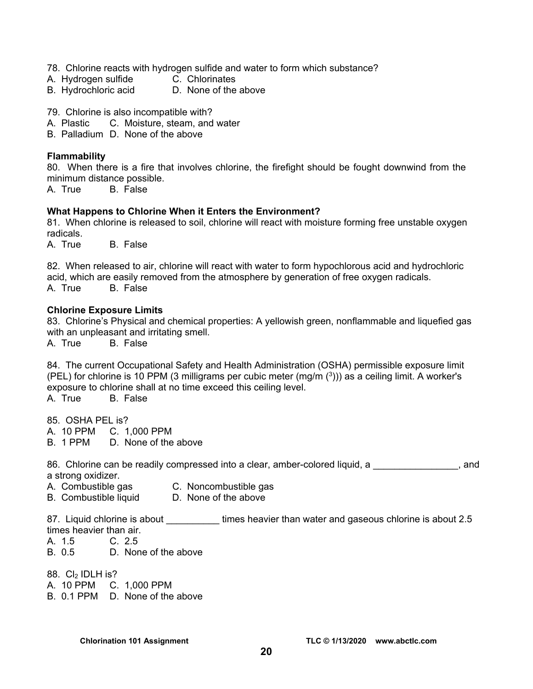- 78. Chlorine reacts with hydrogen sulfide and water to form which substance?
- A. Hydrogen sulfide C. Chlorinates
- B. Hydrochloric acid D. None of the above
- 79. Chlorine is also incompatible with?
- A. Plastic C. Moisture, steam, and water
- B. Palladium D. None of the above

#### **Flammability**

80. When there is a fire that involves chlorine, the firefight should be fought downwind from the minimum distance possible.

A. True B. False

#### **What Happens to Chlorine When it Enters the Environment?**

81. When chlorine is released to soil, chlorine will react with moisture forming free unstable oxygen radicals.

A. True B. False

82. When released to air, chlorine will react with water to form hypochlorous acid and hydrochloric acid, which are easily removed from the atmosphere by generation of free oxygen radicals. A. True B. False

#### **Chlorine Exposure Limits**

83. Chlorine's Physical and chemical properties: A yellowish green, nonflammable and liquefied gas with an unpleasant and irritating smell.

A. True B. False

84. The current Occupational Safety and Health Administration (OSHA) permissible exposure limit (PEL) for chlorine is 10 PPM (3 milligrams per cubic meter  $(mg/m<sup>(3)</sup>)$ ) as a ceiling limit. A worker's exposure to chlorine shall at no time exceed this ceiling level.

A. True B. False

85. OSHA PEL is?

- A. 10 PPM C. 1,000 PPM
- B. 1 PPM D. None of the above

86. Chlorine can be readily compressed into a clear, amber-colored liquid, a state of and a strong oxidizer.

- A. Combustible gas C. Noncombustible gas
- B. Combustible liquid D. None of the above

87. Liquid chlorine is about **times heavier than water and gaseous chlorine is about 2.5** times heavier than air.

- A. 1.5 C. 2.5
- B. 0.5 D. None of the above
- 88. Cl<sub>2</sub> IDLH is?

A. 10 PPM C. 1,000 PPM

B. 0.1 PPM D. None of the above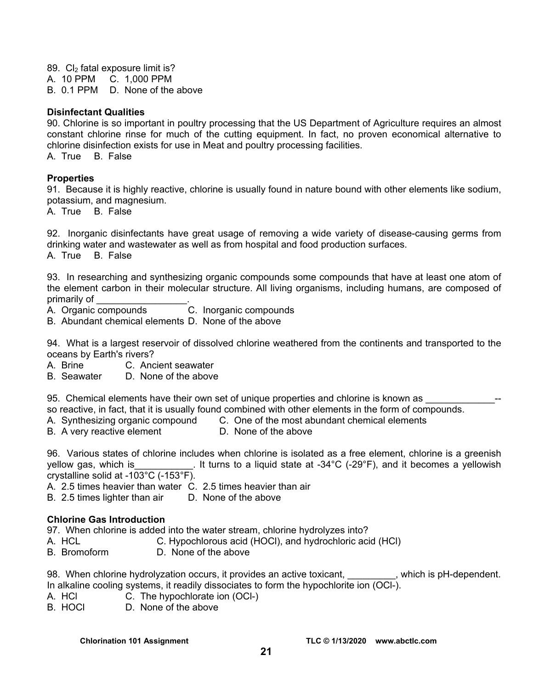89. Cl<sub>2</sub> fatal exposure limit is? A. 10 PPM C. 1,000 PPM B. 0.1 PPM D. None of the above

#### **Disinfectant Qualities**

90. Chlorine is so important in poultry processing that the US Department of Agriculture requires an almost constant chlorine rinse for much of the cutting equipment. In fact, no proven economical alternative to chlorine disinfection exists for use in Meat and poultry processing facilities.

A. True B. False

#### **Properties**

91. Because it is highly reactive, chlorine is usually found in nature bound with other elements like sodium, potassium, and magnesium.

A. True B. False

92. Inorganic disinfectants have great usage of removing a wide variety of disease-causing germs from drinking water and wastewater as well as from hospital and food production surfaces. A. True B. False

93. In researching and synthesizing organic compounds some compounds that have at least one atom of the element carbon in their molecular structure. All living organisms, including humans, are composed of primarily of

A. Organic compounds C. Inorganic compounds

B. Abundant chemical elements D. None of the above

94. What is a largest reservoir of dissolved chlorine weathered from the continents and transported to the oceans by Earth's rivers?

- A. Brine C. Ancient seawater
- B. Seawater D. None of the above
- 95. Chemical elements have their own set of unique properties and chlorine is known as

so reactive, in fact, that it is usually found combined with other elements in the form of compounds.

- A. Synthesizing organic compound C. One of the most abundant chemical elements
- B. A very reactive element D. None of the above

96. Various states of chlorine includes when chlorine is isolated as a free element, chlorine is a greenish yellow gas, which is  $\qquad \qquad$  It turns to a liquid state at -34°C (-29°F), and it becomes a yellowish crystalline solid at -103°C (-153°F).

- A. 2.5 times heavier than water C. 2.5 times heavier than air
- B. 2.5 times lighter than air D. None of the above

#### **Chlorine Gas Introduction**

97. When chlorine is added into the water stream, chlorine hydrolyzes into?

- A. HCL C. Hypochlorous acid (HOCl), and hydrochloric acid (HCl)
- B. Bromoform D. None of the above

98. When chlorine hydrolyzation occurs, it provides an active toxicant, which is pH-dependent. In alkaline cooling systems, it readily dissociates to form the hypochlorite ion (OCl-).

- A. HCl C. The hypochlorate ion (OCl-)
- B. HOCl D. None of the above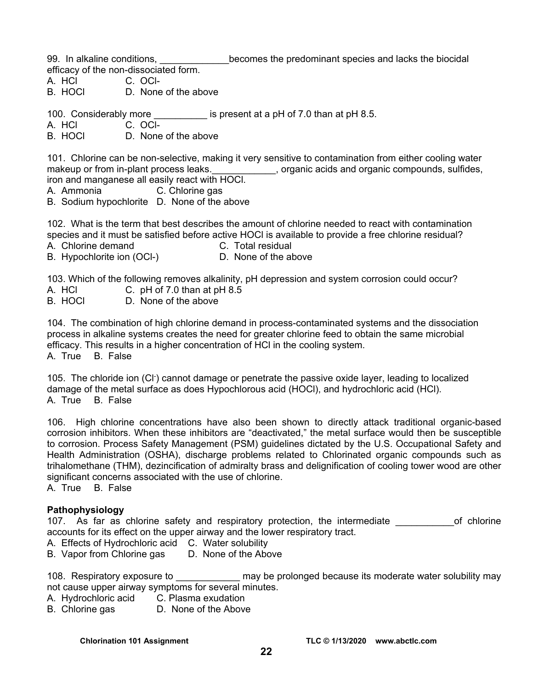99. In alkaline conditions, example becomes the predominant species and lacks the biocidal efficacy of the non-dissociated form.

A. HCl C. OCl-

B. HOCl D. None of the above

100. Considerably more **the is present at a pH of 7.0 than at pH 8.5.** 

A. HCl C. OCl-

B. HOCL D. None of the above

101. Chlorine can be non-selective, making it very sensitive to contamination from either cooling water makeup or from in-plant process leaks. \_\_\_\_\_\_\_\_\_\_\_, organic acids and organic compounds, sulfides, iron and manganese all easily react with HOCl.

- A. Ammonia C. Chlorine gas
- B. Sodium hypochlorite D. None of the above

102. What is the term that best describes the amount of chlorine needed to react with contamination species and it must be satisfied before active HOCl is available to provide a free chlorine residual?

- 
- A. Chlorine demand C. Total residual
- B. Hypochlorite ion (OCI-) D. None of the above

103. Which of the following removes alkalinity, pH depression and system corrosion could occur?

- A. HCl C. pH of 7.0 than at pH 8.5
- B. HOCl D. None of the above

104. The combination of high chlorine demand in process-contaminated systems and the dissociation process in alkaline systems creates the need for greater chlorine feed to obtain the same microbial efficacy. This results in a higher concentration of HCl in the cooling system. A. True B. False

105. The chloride ion (Cl- ) cannot damage or penetrate the passive oxide layer, leading to localized damage of the metal surface as does Hypochlorous acid (HOCl), and hydrochloric acid (HCl). A. True B. False

106. High chlorine concentrations have also been shown to directly attack traditional organic-based corrosion inhibitors. When these inhibitors are "deactivated," the metal surface would then be susceptible to corrosion. Process Safety Management (PSM) guidelines dictated by the U.S. Occupational Safety and Health Administration (OSHA), discharge problems related to Chlorinated organic compounds such as trihalomethane (THM), dezincification of admiralty brass and delignification of cooling tower wood are other significant concerns associated with the use of chlorine.

A. True B. False

# **Pathophysiology**

107. As far as chlorine safety and respiratory protection, the intermediate entity of chlorine accounts for its effect on the upper airway and the lower respiratory tract.

A. Effects of Hydrochloric acid C. Water solubility

B. Vapor from Chlorine gas D. None of the Above

108. Respiratory exposure to **the contract of the state may be prolonged because its moderate water solubility may** not cause upper airway symptoms for several minutes.

- A. Hydrochloric acid C. Plasma exudation
- B. Chlorine gas **D. None of the Above**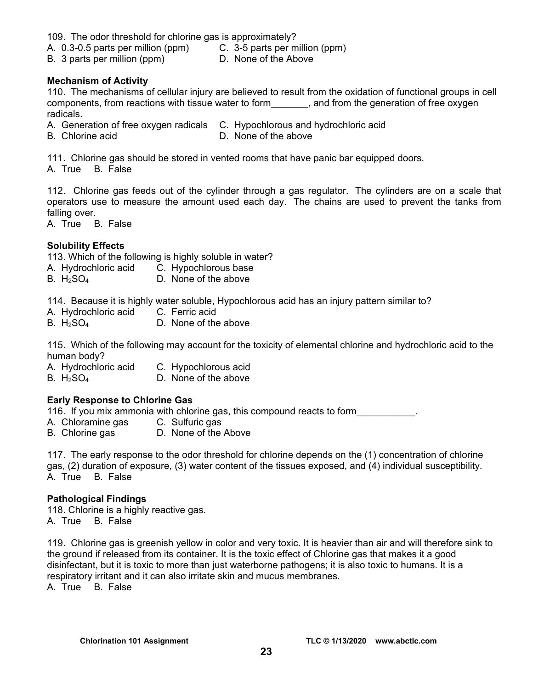109. The odor threshold for chlorine gas is approximately?

A. 0.3-0.5 parts per million (ppm) C. 3-5 parts per million (ppm)

B. 3 parts per million (ppm) D. None of the Above

#### **Mechanism of Activity**

110. The mechanisms of cellular injury are believed to result from the oxidation of functional groups in cell components, from reactions with tissue water to form\_\_\_\_\_\_\_, and from the generation of free oxygen radicals.

A. Generation of free oxygen radicals C. Hypochlorous and hydrochloric acid

- 
- B. Chlorine acid **D.** None of the above

111. Chlorine gas should be stored in vented rooms that have panic bar equipped doors. A. True B. False

112. Chlorine gas feeds out of the cylinder through a gas regulator. The cylinders are on a scale that operators use to measure the amount used each day. The chains are used to prevent the tanks from falling over.

A. True B. False

### **Solubility Effects**

113. Which of the following is highly soluble in water?

- A. Hydrochloric acid C. Hypochlorous base
- B.  $H_2SO_4$  D. None of the above

114. Because it is highly water soluble, Hypochlorous acid has an injury pattern similar to?

- A. Hydrochloric acid C. Ferric acid
- B.  $H_2SO_4$  D. None of the above

115. Which of the following may account for the toxicity of elemental chlorine and hydrochloric acid to the human body?

- A. Hydrochloric acid C. Hypochlorous acid
- B.  $H_2SO_4$  D. None of the above

# **Early Response to Chlorine Gas**

116. If you mix ammonia with chlorine gas, this compound reacts to form

- A. Chloramine gas C. Sulfuric gas
- B. Chlorine gas D. None of the Above

117. The early response to the odor threshold for chlorine depends on the (1) concentration of chlorine gas, (2) duration of exposure, (3) water content of the tissues exposed, and (4) individual susceptibility. A. True B. False

#### **Pathological Findings**

118. Chlorine is a highly reactive gas. A. True B. False

119. Chlorine gas is greenish yellow in color and very toxic. It is heavier than air and will therefore sink to the ground if released from its container. It is the toxic effect of Chlorine gas that makes it a good disinfectant, but it is toxic to more than just waterborne pathogens; it is also toxic to humans. It is a respiratory irritant and it can also irritate skin and mucus membranes.

A. True B. False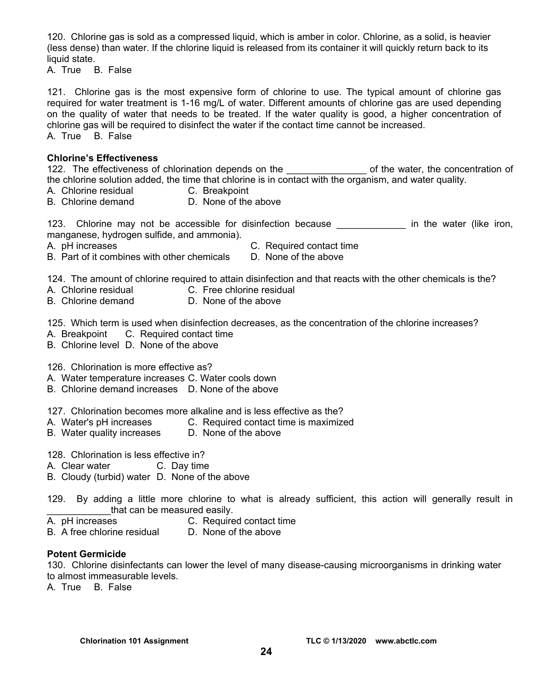120. Chlorine gas is sold as a compressed liquid, which is amber in color. Chlorine, as a solid, is heavier (less dense) than water. If the chlorine liquid is released from its container it will quickly return back to its liquid state.

A. True B. False

121. Chlorine gas is the most expensive form of chlorine to use. The typical amount of chlorine gas required for water treatment is 1-16 mg/L of water. Different amounts of chlorine gas are used depending on the quality of water that needs to be treated. If the water quality is good, a higher concentration of chlorine gas will be required to disinfect the water if the contact time cannot be increased. A. True B. False

#### **Chlorine's Effectiveness**

122. The effectiveness of chlorination depends on the \_\_\_\_\_\_\_\_\_\_\_\_\_\_\_ of the water, the concentration of the chlorine solution added, the time that chlorine is in contact with the organism, and water quality.

- A. Chlorine residual C. Breakpoint
- B. Chlorine demand D. None of the above

123. Chlorine may not be accessible for disinfection because \_\_\_\_\_\_\_\_\_\_\_\_\_ in the water (like iron, manganese, hydrogen sulfide, and ammonia).

- 
- A. pH increases C. Required contact time
- B. Part of it combines with other chemicals D. None of the above

124. The amount of chlorine required to attain disinfection and that reacts with the other chemicals is the?

- A. Chlorine residual C. Free chlorine residual
- B. Chlorine demand D. None of the above

125. Which term is used when disinfection decreases, as the concentration of the chlorine increases?

- A. Breakpoint C. Required contact time
- B. Chlorine level D. None of the above

126. Chlorination is more effective as?

- A. Water temperature increases C. Water cools down
- B. Chlorine demand increases D. None of the above

127. Chlorination becomes more alkaline and is less effective as the?

- A. Water's pH increases C. Required contact time is maximized
- B. Water quality increases D. None of the above
- 128. Chlorination is less effective in?
- A. Clear water C. Day time
- B. Cloudy (turbid) water D. None of the above
- 129. By adding a little more chlorine to what is already sufficient, this action will generally result in that can be measured easily.
- A. pH increases C. Required contact time
- B. A free chlorine residual D. None of the above

#### **Potent Germicide**

130. Chlorine disinfectants can lower the level of many disease-causing microorganisms in drinking water to almost immeasurable levels.

A. True B. False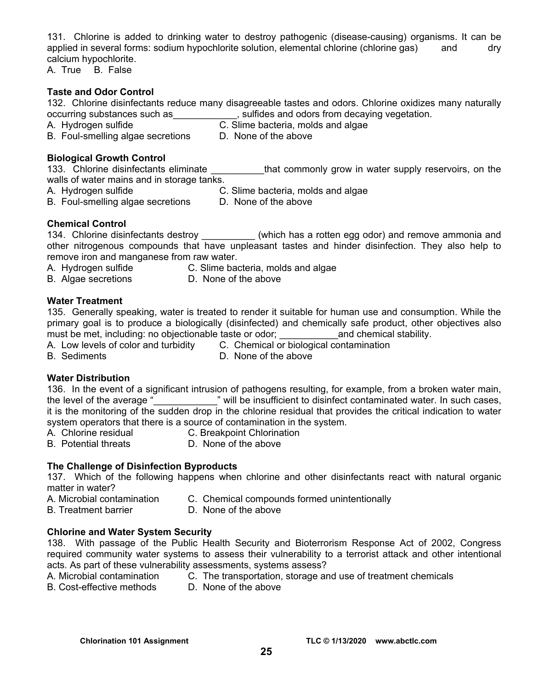131. Chlorine is added to drinking water to destroy pathogenic (disease-causing) organisms. It can be applied in several forms: sodium hypochlorite solution, elemental chlorine (chlorine gas) and dry calcium hypochlorite.

A. True B. False

### **Taste and Odor Control**

- 132. Chlorine disinfectants reduce many disagreeable tastes and odors. Chlorine oxidizes many naturally occurring substances such as  $\qquad \qquad$ , sulfides and odors from decaying vegetation.
- A. Hydrogen sulfide C. Slime bacteria, molds and algae
- B. Foul-smelling algae secretions D. None of the above

### **Biological Growth Control**

133. Chlorine disinfectants eliminate that commonly grow in water supply reservoirs, on the walls of water mains and in storage tanks.

- 
- A. Hydrogen sulfide C. Slime bacteria, molds and algae
- B. Foul-smelling algae secretions D. None of the above
- 

# **Chemical Control**

134. Chlorine disinfectants destroy **the set of the Common Contract and remove** ammonia and other nitrogenous compounds that have unpleasant tastes and hinder disinfection. They also help to remove iron and manganese from raw water.

- A. Hydrogen sulfide C. Slime bacteria, molds and algae
- B. Algae secretions D. None of the above

# **Water Treatment**

135. Generally speaking, water is treated to render it suitable for human use and consumption. While the primary goal is to produce a biologically (disinfected) and chemically safe product, other objectives also must be met, including: no objectionable taste or odor; entity and chemical stability.

A. Low levels of color and turbidity C. Chemical or biological contamination

- B. Sediments D. None of the above
- 

# **Water Distribution**

136. In the event of a significant intrusion of pathogens resulting, for example, from a broken water main, the level of the average "<br>
will be insufficient to disinfect contaminated water. In such cases, it is the monitoring of the sudden drop in the chlorine residual that provides the critical indication to water system operators that there is a source of contamination in the system.

- A. Chlorine residual C. Breakpoint Chlorination
- B. Potential threats **D.** None of the above

# **The Challenge of Disinfection Byproducts**

137. Which of the following happens when chlorine and other disinfectants react with natural organic matter in water?

- A. Microbial contamination C. Chemical compounds formed unintentionally
- B. Treatment barrier D. None of the above

# **Chlorine and Water System Security**

138. With passage of the Public Health Security and Bioterrorism Response Act of 2002, Congress required community water systems to assess their vulnerability to a terrorist attack and other intentional acts. As part of these vulnerability assessments, systems assess?

|       |  | A. Microbial contamination |  |  |  |  | C. The transportation, storage and use of treatment chemicals |  |  |  |  |  |
|-------|--|----------------------------|--|--|--|--|---------------------------------------------------------------|--|--|--|--|--|
| _____ |  |                            |  |  |  |  |                                                               |  |  |  |  |  |

B. Cost-effective methods D. None of the above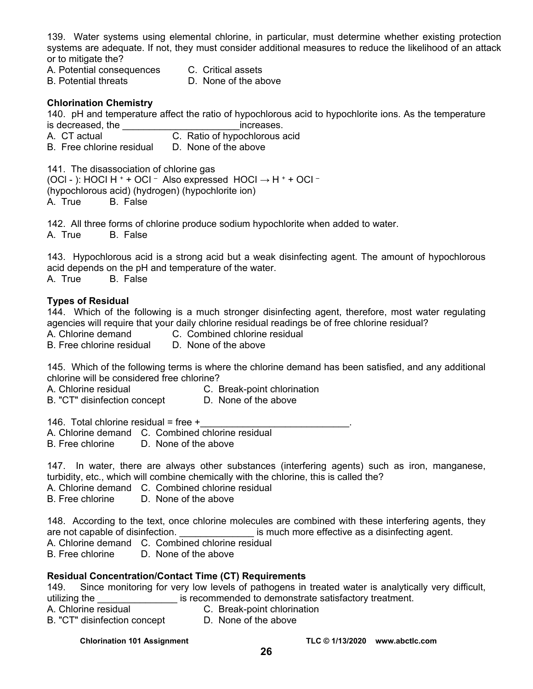139. Water systems using elemental chlorine, in particular, must determine whether existing protection systems are adequate. If not, they must consider additional measures to reduce the likelihood of an attack or to mitigate the?

- A. Potential consequences C. Critical assets
- B. Potential threats D. None of the above

### **Chlorination Chemistry**

140. pH and temperature affect the ratio of hypochlorous acid to hypochlorite ions. As the temperature is decreased, the **increases**.

- A. CT actual C. Ratio of hypochlorous acid
- B. Free chlorine residual D. None of the above

141. The disassociation of chlorine gas

(OCI - ): HOCI H  $^+$  + OCI  $^-$  Also expressed HOCI  $\rightarrow$  H  $^+$  + OCI  $^-$ (hypochlorous acid) (hydrogen) (hypochlorite ion) A. True B. False

142. All three forms of chlorine produce sodium hypochlorite when added to water.

A. True B. False

143. Hypochlorous acid is a strong acid but a weak disinfecting agent. The amount of hypochlorous acid depends on the pH and temperature of the water.

A. True B. False

#### **Types of Residual**

144. Which of the following is a much stronger disinfecting agent, therefore, most water regulating agencies will require that your daily chlorine residual readings be of free chlorine residual?

A. Chlorine demand C. Combined chlorine residual

B. Free chlorine residual D. None of the above

145. Which of the following terms is where the chlorine demand has been satisfied, and any additional chlorine will be considered free chlorine?

A. Chlorine residual C. Break-point chlorination

- 
- B. "CT" disinfection concept D. None of the above

146. Total chlorine residual = free  $+$ 

A. Chlorine demand C. Combined chlorine residual

B. Free chlorine D. None of the above

147. In water, there are always other substances (interfering agents) such as iron, manganese, turbidity, etc., which will combine chemically with the chlorine, this is called the?

A. Chlorine demand C. Combined chlorine residual

B. Free chlorine D. None of the above

148. According to the text, once chlorine molecules are combined with these interfering agents, they are not capable of disinfection.  $\qquad \qquad$  is much more effective as a disinfecting agent.

A. Chlorine demand C. Combined chlorine residual

B. Free chlorine D. None of the above

#### **Residual Concentration/Contact Time (CT) Requirements**

149. Since monitoring for very low levels of pathogens in treated water is analytically very difficult, utilizing the **EXECUTE:** is recommended to demonstrate satisfactory treatment.

- 
- A. Chlorine residual C. Break-point chlorination
- B. "CT" disinfection concept D. None of the above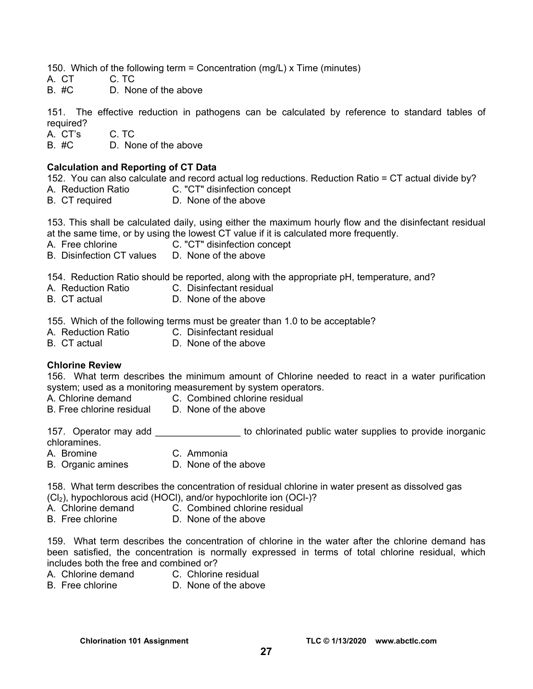150. Which of the following term = Concentration (mg/L) x Time (minutes)

A. CT C. TC<br>B. #C D. No

D. None of the above

151. The effective reduction in pathogens can be calculated by reference to standard tables of required?

A. CT's C. TC

B. #C D. None of the above

#### **Calculation and Reporting of CT Data**

152. You can also calculate and record actual log reductions. Reduction Ratio = CT actual divide by?

- C. "CT" disinfection concept
- B. CT required D. None of the above

153. This shall be calculated daily, using either the maximum hourly flow and the disinfectant residual at the same time, or by using the lowest CT value if it is calculated more frequently.

- A. Free chlorine **C.** "CT" disinfection concept
- B. Disinfection CT values D. None of the above

154. Reduction Ratio should be reported, along with the appropriate pH, temperature, and?

- A. Reduction Ratio C. Disinfectant residual
	-
- 
- B. CT actual D. None of the above

155. Which of the following terms must be greater than 1.0 to be acceptable?<br>A Reduction Ratio  $\overline{C}$  Disinfectant residual

- A. Reduction Ratio
	-
- B. CT actual D. None of the above

#### **Chlorine Review**

156. What term describes the minimum amount of Chlorine needed to react in a water purification system; used as a monitoring measurement by system operators.

- A. Chlorine demand C. Combined chlorine residual
- B. Free chlorine residual D. None of the above
	-

157. Operator may add \_\_\_\_\_\_\_\_\_\_\_\_\_\_\_\_ to chlorinated public water supplies to provide inorganic

- chloramines.
- A. Bromine C. Ammonia
- 
- B. Organic amines D. None of the above

158. What term describes the concentration of residual chlorine in water present as dissolved gas

- (Cl2), hypochlorous acid (HOCl), and/or hypochlorite ion (OCl-)?
- 
- A. Chlorine demand C. Combined chlorine residual<br>B. Free chlorine D. None of the above D. None of the above

159. What term describes the concentration of chlorine in the water after the chlorine demand has been satisfied, the concentration is normally expressed in terms of total chlorine residual, which includes both the free and combined or?

- A. Chlorine demand C. Chlorine residual
- B. Free chlorine **D.** None of the above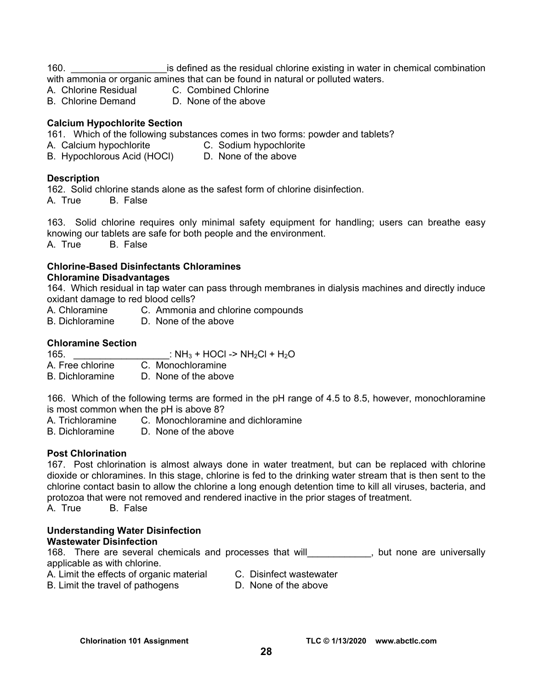160. \_\_\_\_\_\_\_\_\_\_\_\_\_\_\_\_\_\_is defined as the residual chlorine existing in water in chemical combination

with ammonia or organic amines that can be found in natural or polluted waters.

- A. Chlorine Residual C. Combined Chlorine<br>B. Chlorine Demand D. None of the above
- 
- D. None of the above

# **Calcium Hypochlorite Section**

161.Which of the following substances comes in two forms: powder and tablets?

- A. Calcium hypochlorite C. Sodium hypochlorite
	-
- B. Hypochlorous Acid (HOCI) D. None of the above

# **Description**

162.Solid chlorine stands alone as the safest form of chlorine disinfection.

A. True B. False

163. Solid chlorine requires only minimal safety equipment for handling; users can breathe easy knowing our tablets are safe for both people and the environment.

A. True B. False

# **Chlorine-Based Disinfectants Chloramines**

### **Chloramine Disadvantages**

164. Which residual in tap water can pass through membranes in dialysis machines and directly induce oxidant damage to red blood cells?

- A. Chloramine C. Ammonia and chlorine compounds
- B. Dichloramine D. None of the above

# **Chloramine Section**

165.  $IH_3 + HOCI - > NH_2CI + H_2O$ A. Free chlorine C. Monochloramine

B. Dichloramine D. None of the above

166. Which of the following terms are formed in the pH range of 4.5 to 8.5, however, monochloramine is most common when the pH is above 8?

- A. Trichloramine C. Monochloramine and dichloramine<br>B. Dichloramine D. None of the above
- D. None of the above

# **Post Chlorination**

167. Post chlorination is almost always done in water treatment, but can be replaced with chlorine dioxide or chloramines. In this stage, chlorine is fed to the drinking water stream that is then sent to the chlorine contact basin to allow the chlorine a long enough detention time to kill all viruses, bacteria, and protozoa that were not removed and rendered inactive in the prior stages of treatment.

A. True B. False

#### **Understanding Water Disinfection Wastewater Disinfection**

168. There are several chemicals and processes that will\_\_\_\_\_\_\_\_\_\_\_\_, but none are universally applicable as with chlorine.

- A. Limit the effects of organic material C. Disinfect wastewater
- B. Limit the travel of pathogens D. None of the above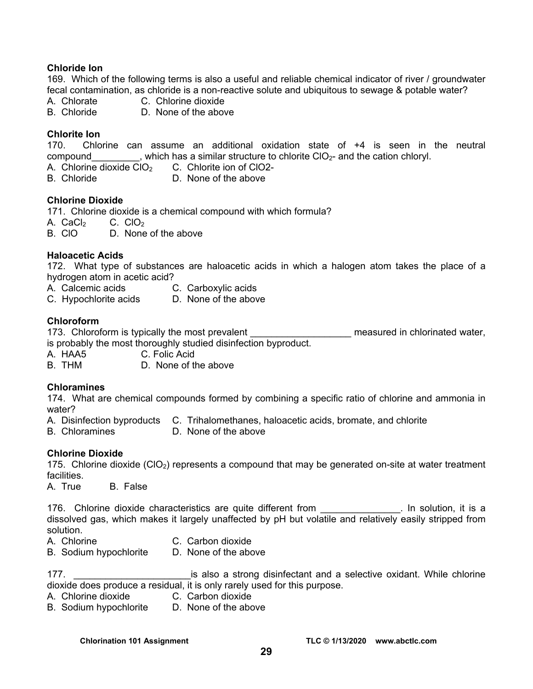### **Chloride Ion**

169. Which of the following terms is also a useful and reliable chemical indicator of river / groundwater fecal contamination, as chloride is a non-reactive solute and ubiquitous to sewage & potable water?

A. Chlorate C. Chlorine dioxide

B. Chloride D. None of the above

### **Chlorite Ion**

170. Chlorine can assume an additional oxidation state of +4 is seen in the neutral compound extending that is which has a similar structure to chlorite  $ClO_{2}$ - and the cation chloryl.

A. Chlorine dioxide  $CIO<sub>2</sub>$  C. Chlorite ion of ClO2-

B. Chloride D. None of the above

#### **Chlorine Dioxide**

171. Chlorine dioxide is a chemical compound with which formula? A. CaCl $_2$  C. CIO<sub>2</sub>

B. ClO D. None of the above

#### **Haloacetic Acids**

172. What type of substances are haloacetic acids in which a halogen atom takes the place of a hydrogen atom in acetic acid?

- A. Calcemic acids C. Carboxylic acids
- C. Hypochlorite acids D. None of the above

#### **Chloroform**

173. Chloroform is typically the most prevalent **the most and the measured in chlorinated water**, is probably the most thoroughly studied disinfection byproduct.

- A. HAA5 C. Folic Acid
- B. THM D. None of the above

#### **Chloramines**

174. What are chemical compounds formed by combining a specific ratio of chlorine and ammonia in water?

- A. Disinfection byproducts C. Trihalomethanes, haloacetic acids, bromate, and chlorite B. Chloramines D. None of the above
- D. None of the above

#### **Chlorine Dioxide**

175. Chlorine dioxide  $(CIO<sub>2</sub>)$  represents a compound that may be generated on-site at water treatment facilities.

A. True B. False

176. Chlorine dioxide characteristics are quite different from Theorem 2015. In solution, it is a dissolved gas, which makes it largely unaffected by pH but volatile and relatively easily stripped from solution.

- A. Chlorine C. Carbon dioxide
- B. Sodium hypochlorite D. None of the above
- 

177. \_\_\_\_\_\_\_\_\_\_\_\_\_\_\_\_\_\_\_\_\_\_is also a strong disinfectant and a selective oxidant. While chlorine dioxide does produce a residual, it is only rarely used for this purpose.

- A. Chlorine dioxide C. Carbon dioxide
- B. Sodium hypochlorite D. None of the above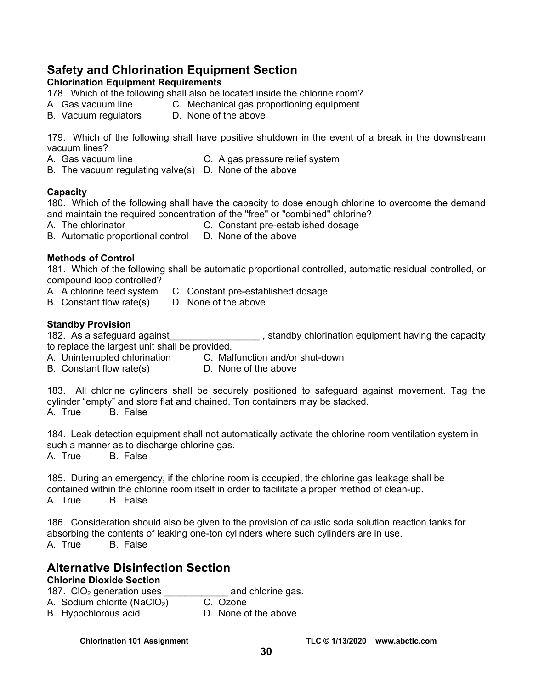# **Safety and Chlorination Equipment Section**

**Chlorination Equipment Requirements** 

178. Which of the following shall also be located inside the chlorine room?

- A. Gas vacuum line C. Mechanical gas proportioning equipment
- B. Vacuum regulators D. None of the above

179. Which of the following shall have positive shutdown in the event of a break in the downstream vacuum lines?

- A. Gas vacuum line C. A gas pressure relief system
- B. The vacuum regulating valve(s) D. None of the above

# **Capacity**

180. Which of the following shall have the capacity to dose enough chlorine to overcome the demand and maintain the required concentration of the "free" or "combined" chlorine?

- A. The chlorinator **C.** Constant pre-established dosage
- B. Automatic proportional control D. None of the above

# **Methods of Control**

181. Which of the following shall be automatic proportional controlled, automatic residual controlled, or compound loop controlled?

- A. A chlorine feed system C. Constant pre-established dosage
- B. Constant flow rate(s) D. None of the above

# **Standby Provision**

182. As a safeguard against\_\_\_\_\_\_\_\_\_\_\_\_\_\_\_\_\_\_\_\_\_, standby chlorination equipment having the capacity to replace the largest unit shall be provided.

- A. Uninterrupted chlorination C. Malfunction and/or shut-down
- B. Constant flow rate(s) D. None of the above

183. All chlorine cylinders shall be securely positioned to safeguard against movement. Tag the cylinder "empty" and store flat and chained. Ton containers may be stacked.<br>A. True B. False B. False

184. Leak detection equipment shall not automatically activate the chlorine room ventilation system in such a manner as to discharge chlorine gas.

A. True B. False

185. During an emergency, if the chlorine room is occupied, the chlorine gas leakage shall be contained within the chlorine room itself in order to facilitate a proper method of clean-up. A. True B. False

186. Consideration should also be given to the provision of caustic soda solution reaction tanks for absorbing the contents of leaking one-ton cylinders where such cylinders are in use. A. True B. False

# **Alternative Disinfection Section**

# **Chlorine Dioxide Section**

187. CIO<sub>2</sub> generation uses \_\_\_\_\_\_\_\_\_\_\_\_\_\_\_\_ and chlorine gas.<br>A Sodium chlorite (NaCIO<sub>2</sub>) \_\_\_\_\_\_\_C.\_Ozone

A. Sodium chlorite (NaClO<sub>2</sub>)

B. Hypochlorous acid **D.** None of the above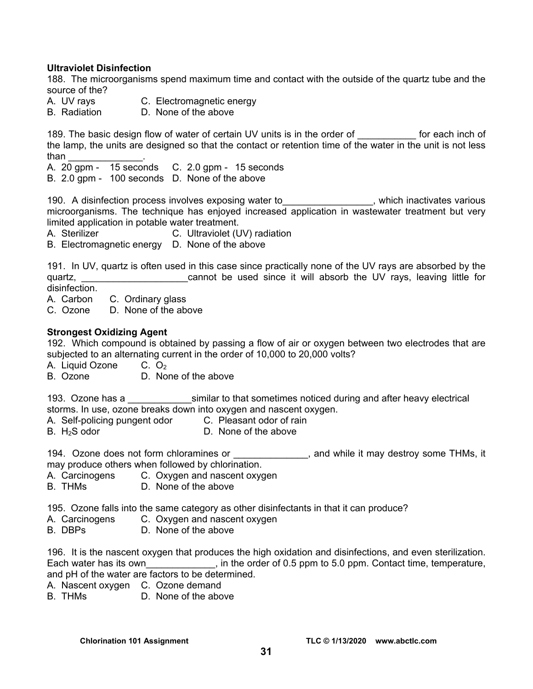#### **Ultraviolet Disinfection**

188. The microorganisms spend maximum time and contact with the outside of the quartz tube and the source of the?

- A. UV rays C. Electromagnetic energy
- B. Radiation D. None of the above

189. The basic design flow of water of certain UV units is in the order of The State of the basic design flow of the lamp, the units are designed so that the contact or retention time of the water in the unit is not less than \_\_\_\_\_\_\_\_\_\_\_\_\_\_.

A. 20 gpm - 15 seconds C. 2.0 gpm - 15 seconds

B. 2.0 gpm - 100 seconds D. None of the above

190. A disinfection process involves exposing water to **the set of the set of the set of the set of the set of t** microorganisms. The technique has enjoyed increased application in wastewater treatment but very limited application in potable water treatment.

A. Sterilizer C. Ultraviolet (UV) radiation

B. Electromagnetic energy D. None of the above

191. In UV, quartz is often used in this case since practically none of the UV rays are absorbed by the quartz, **the cannot be used since it will absorb the UV rays**, leaving little for disinfection.

- A. Carbon C. Ordinary glass
- C. Ozone D. None of the above

#### **Strongest Oxidizing Agent**

192. Which compound is obtained by passing a flow of air or oxygen between two electrodes that are subjected to an alternating current in the order of 10,000 to 20,000 volts?

A. Liquid Ozone  $C. O<sub>2</sub>$ 

B. Ozone D. None of the above

193. Ozone has a similar to that sometimes noticed during and after heavy electrical storms. In use, ozone breaks down into oxygen and nascent oxygen.

- A. Self-policing pungent odor C. Pleasant odor of rain<br>B. H<sub>2</sub>S odor **C.** None of the above
- D. None of the above

194. Ozone does not form chloramines or \_\_\_\_\_\_\_\_\_\_\_\_\_, and while it may destroy some THMs, it may produce others when followed by chlorination.

- A. Carcinogens C. Oxygen and nascent oxygen
- B. THMs D. None of the above

195. Ozone falls into the same category as other disinfectants in that it can produce?

- A. Carcinogens C. Oxygen and nascent oxygen
- B. DBPs D. None of the above

196. It is the nascent oxygen that produces the high oxidation and disinfections, and even sterilization. Each water has its own\_\_\_\_\_\_\_\_\_\_\_\_\_, in the order of 0.5 ppm to 5.0 ppm. Contact time, temperature, and pH of the water are factors to be determined.

- A. Nascent oxygen C. Ozone demand
- B. THMs D. None of the above